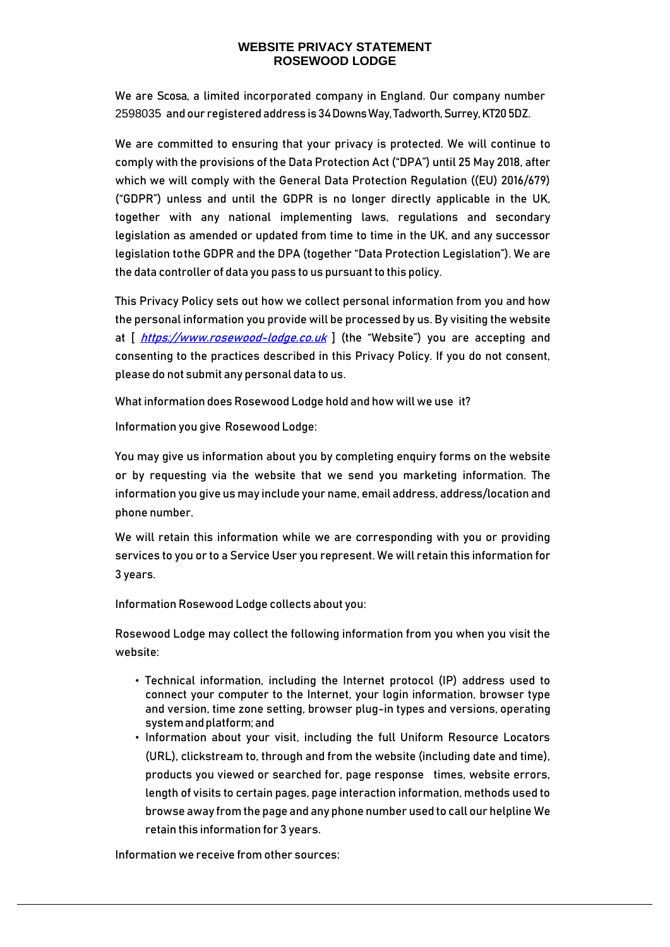We are Scosa, a limited incorporated company in England. Our company number 2598035 andour registeredaddress is 34 Downs Way, Tadworth, Surrey, KT20 5DZ.

We are committed to ensuring that your privacy is protected. We will continue to comply with the provisions of the Data Protection Act ("DPA") until 25 May 2018, after which we will comply with the General Data Protection Regulation ((EU) 2016/679) ("GDPR") unless and until the GDPR is no longer directly applicable in the UK, together with any national implementing laws, regulations and secondary legislation as amended or updated from time to time in the UK, and any successor legislation tothe GDPR and the DPA (together "Data Protection Legislation"). We are the data controller of data you pass to us pursuant to this policy.

This Privacy Policy sets out how we collect personal information from you and how the personal information you provide will be processed by us. By visiting the website at  $\int$  [https://www.rosewood-lodge.co.uk](https://www.rosewood-lodge.co.uk/)  $\int$  (the "Website") you are accepting and consenting to the practices described in this Privacy Policy. If you do not consent, please do not submit any personal data to us.

What information does Rosewood Lodge hold and how will we use it?

Information you give Rosewood Lodge:

You may give us information about you by completing enquiry forms on the website or by requesting via the website that we send you marketing information. The information you give us may include your name, email address, address/location and phone number.

We will retain this information while we are corresponding with you or providing services to you or to a Service User you represent. We will retain this information for 3 years.

Information Rosewood Lodge collects about you:

Rosewood Lodge may collect the following information from you when you visit the website:

- Technical information, including the Internet protocol (IP) address used to connect your computer to the Internet, your login information, browser type and version, time zone setting, browser plug-in types and versions, operating systemandplatform;and
- Information about your visit, including the full Uniform Resource Locators (URL), clickstream to, through and from the website (including date and time), products you viewed or searched for, page response times, website errors, length of visits to certain pages, page interaction information, methods used to browse away from the page and any phone number used to call our helpline We retain this information for 3 years.

Information we receive from other sources: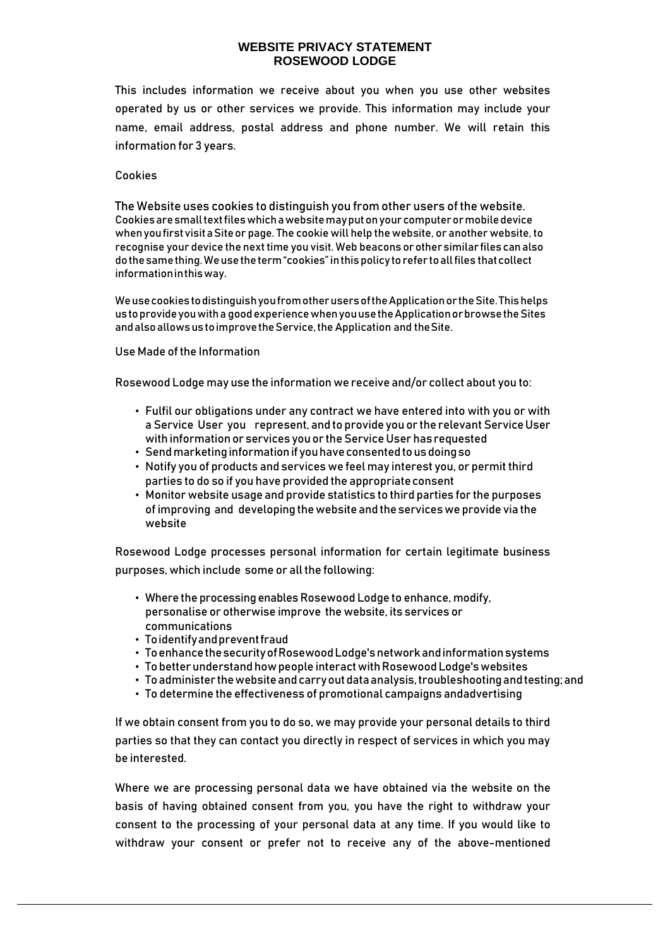This includes information we receive about you when you use other websites operated by us or other services we provide. This information may include your name, email address, postal address and phone number. We will retain this information for 3 years.

#### Cookies

The Website uses cookies to distinguish you from other users of the website. Cookiesaresmalltextfileswhichawebsitemayputonyourcomputerormobiledevice whenyoufirstvisitaSiteor page. The cookie will help the website, or another website, to recognise your device the next time you visit. Web beacons orothersimilar filescanalso dothesamething.Weusetheterm"cookies"inthispolicy torefer toallfiles thatcollect informationinthisway.

WeusecookiestodistinguishyoufromotherusersoftheApplicationortheSite.Thishelps ustoprovideyouwitha goodexperiencewhenyouusetheApplicationorbrowsetheSites and also allows us to improve the Service, the Application and the Site.

#### Use Made of the Information

Rosewood Lodge may use the information we receive and/or collect about you to:

- Fulfil our obligations under any contract we have entered into with you or with a Service User you represent, and to provide you or the relevant Service User with information or services you or the Service User has requested
- Sendmarketinginformationif youhaveconsentedtousdoingso
- Notify you of products and services we feel may interest you, or permit third parties to do so if you have provided the appropriateconsent
- Monitor website usage and provide statistics to third parties for the purposes of improving and developing thewebsite and theserviceswe provide via the website

Rosewood Lodge processes personal information for certain legitimate business purposes, which include some or all the following:

- Where the processing enables Rosewood Lodge to enhance, modify, personalise or otherwise improve the website, its services or communications
- Toidentifyandpreventfraud
- ToenhancethesecurityofRosewoodLodge'snetworkandinformationsystems
- To betterunderstandhowpeople interactwithRosewoodLodge'swebsites
- Toadminister thewebsiteandcarryoutdataanalysis,troubleshootingandtesting;and
- To determine the effectiveness of promotional campaigns andadvertising

If we obtain consent from you to do so, we may provide your personal details to third parties so that they can contact you directly in respect of services in which you may be interested.

Where we are processing personal data we have obtained via the website on the basis of having obtained consent from you, you have the right to withdraw your consent to the processing of your personal data at any time. If you would like to withdraw your consent or prefer not to receive any of the above-mentioned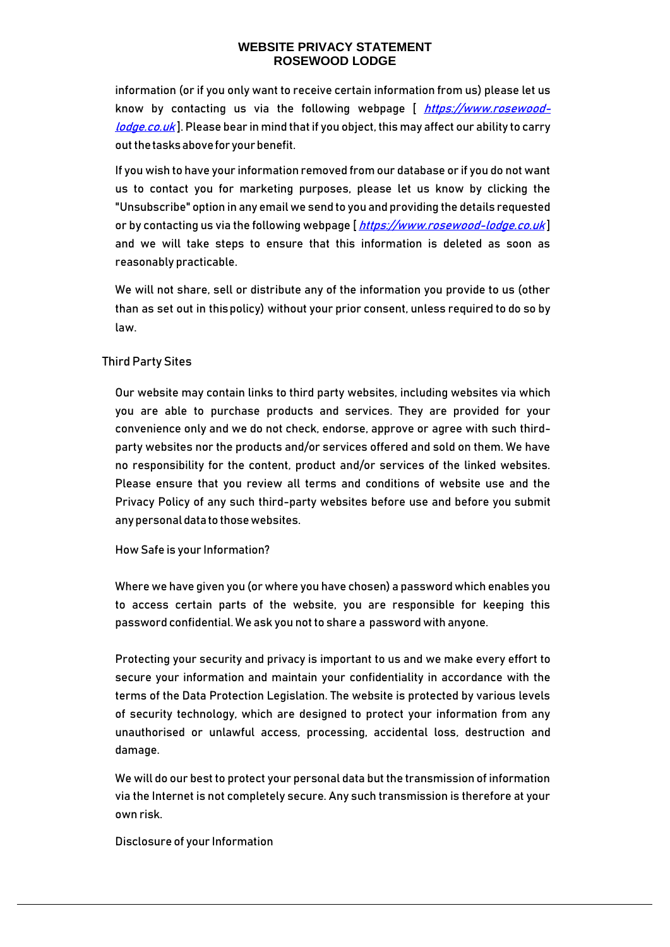information (or if you only want to receive certain information from us) please let us know by contacting us via the following webpage [ [https://www.rosewood](https://www.rosewood-lodge.co.uk/)[lodge.co.uk](https://www.rosewood-lodge.co.uk/)]. Please bear in mind that if you object, this may affect our ability to carry out the tasks above for your benefit.

If you wish to have your information removed from our database or if you do not want us to contact you for marketing purposes, please let us know by clicking the "Unsubscribe" option in any email we send to you and providing the details requested or by contacting us via the following webpage [[https://www.rosewood-lodge.co.uk](https://www.rosewood-lodge.co.uk/)] and we will take steps to ensure that this information is deleted as soon as reasonably practicable.

We will not share, sell or distribute any of the information you provide to us (other than as set out in thispolicy) without your prior consent, unless required to do so by law.

### Third Party Sites

Our website may contain links to third party websites, including websites via which you are able to purchase products and services. They are provided for your convenience only and we do not check, endorse, approve or agree with such thirdparty websites nor the products and/or services offered and sold on them. We have no responsibility for the content, product and/or services of the linked websites. Please ensure that you review all terms and conditions of website use and the Privacy Policy of any such third-party websites before use and before you submit any personal data to those websites.

How Safe is your Information?

Where we have given you (or where you have chosen) a password which enables you to access certain parts of the website, you are responsible for keeping this password confidential. We ask you not to share a password with anyone.

Protecting your security and privacy is important to us and we make every effort to secure your information and maintain your confidentiality in accordance with the terms of the Data Protection Legislation. The website is protected by various levels of security technology, which are designed to protect your information from any unauthorised or unlawful access, processing, accidental loss, destruction and damage.

We will do our best to protect your personal data but the transmission of information via the Internet is not completely secure. Any such transmission is therefore at your own risk.

Disclosure of your Information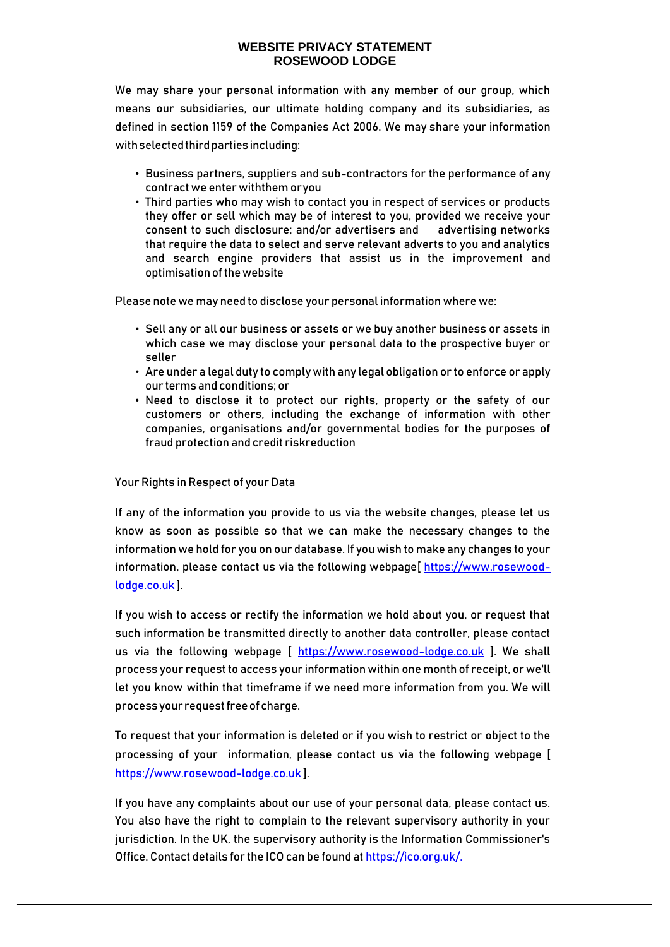We may share your personal information with any member of our group, which means our subsidiaries, our ultimate holding company and its subsidiaries, as defined in section 1159 of the Companies Act 2006. We may share your information with selected third parties including:

- Business partners, suppliers and sub-contractors for the performance of any contract we enter withthem oryou
- Third parties who may wish to contact you in respect of services or products they offer or sell which may be of interest to you, provided we receive your consent to such disclosure; and/or advertisers and advertising networks that require the data to select and serve relevant adverts to you and analytics and search engine providers that assist us in the improvement and optimisation of the website

Please note we may need to disclose your personal information where we:

- Sell any or all our business or assets or we buy another business or assets in which case we may disclose your personal data to the prospective buyer or seller
- Are under a legal duty to comply with any legal obligation or to enforce or apply our terms andconditions; or
- Need to disclose it to protect our rights, property or the safety of our customers or others, including the exchange of information with other companies, organisations and/or governmental bodies for the purposes of fraud protection and credit riskreduction

## Your Rights in Respect of your Data

If any of the information you provide to us via the website changes, please let us know as soon as possible so that we can make the necessary changes to the information we hold for you on our database. If you wish to make any changes to your information, please contact us via the following webpage[ [https://www.rosewood](https://www.rosewood-lodge.co.uk/)[lodge.co.uk](https://www.rosewood-lodge.co.uk/) ].

If you wish to access or rectify the information we hold about you, or request that such information be transmitted directly to another data controller, please contact us via the following webpage [ [https://www.rosewood-lodge.co.uk](https://www.rosewood-lodge.co.uk/) ]. We shall process your request to access your information within one month of receipt, or we'll let you know within that timeframe if we need more information from you. We will process your request free of charge.

To request that your information is deleted or if you wish to restrict or object to the processing of your information, please contact us via the following webpage [ [https://www.rosewood-lodge.co.uk](https://www.rosewood-lodge.co.uk/) ].

If you have any complaints about our use of your personal data, please contact us. You also have the right to complain to the relevant supervisory authority in your jurisdiction. In the UK, the supervisory authority is the Information Commissioner's Office. Contact details for the ICO can be found at https://ico.org.uk/.